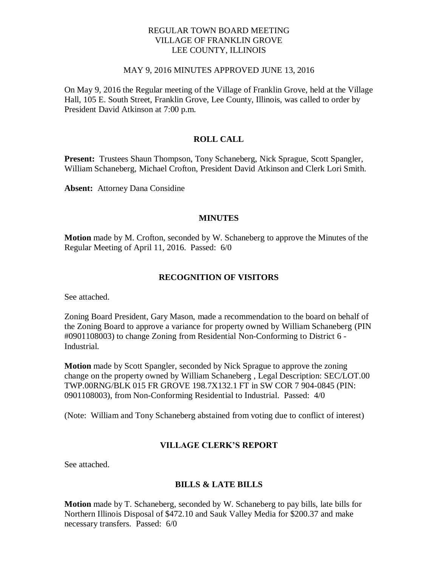# REGULAR TOWN BOARD MEETING VILLAGE OF FRANKLIN GROVE LEE COUNTY, ILLINOIS

### MAY 9, 2016 MINUTES APPROVED JUNE 13, 2016

On May 9, 2016 the Regular meeting of the Village of Franklin Grove, held at the Village Hall, 105 E. South Street, Franklin Grove, Lee County, Illinois, was called to order by President David Atkinson at 7:00 p.m.

# **ROLL CALL**

**Present:** Trustees Shaun Thompson, Tony Schaneberg, Nick Sprague, Scott Spangler, William Schaneberg, Michael Crofton, President David Atkinson and Clerk Lori Smith.

**Absent:** Attorney Dana Considine

# **MINUTES**

**Motion** made by M. Crofton, seconded by W. Schaneberg to approve the Minutes of the Regular Meeting of April 11, 2016. Passed: 6/0

# **RECOGNITION OF VISITORS**

See attached.

Zoning Board President, Gary Mason, made a recommendation to the board on behalf of the Zoning Board to approve a variance for property owned by William Schaneberg (PIN #0901108003) to change Zoning from Residential Non-Conforming to District 6 - Industrial.

**Motion** made by Scott Spangler, seconded by Nick Sprague to approve the zoning change on the property owned by William Schaneberg , Legal Description: SEC/LOT.00 TWP.00RNG/BLK 015 FR GROVE 198.7X132.1 FT in SW COR 7 904-0845 (PIN: 0901108003), from Non-Conforming Residential to Industrial. Passed: 4/0

(Note: William and Tony Schaneberg abstained from voting due to conflict of interest)

# **VILLAGE CLERK'S REPORT**

See attached.

# **BILLS & LATE BILLS**

**Motion** made by T. Schaneberg, seconded by W. Schaneberg to pay bills, late bills for Northern Illinois Disposal of \$472.10 and Sauk Valley Media for \$200.37 and make necessary transfers. Passed: 6/0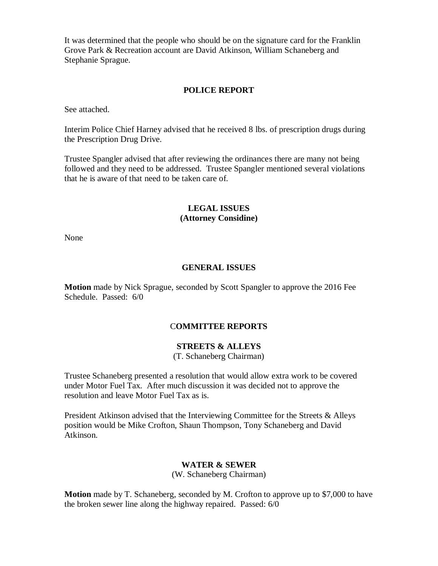It was determined that the people who should be on the signature card for the Franklin Grove Park & Recreation account are David Atkinson, William Schaneberg and Stephanie Sprague.

### **POLICE REPORT**

See attached.

Interim Police Chief Harney advised that he received 8 lbs. of prescription drugs during the Prescription Drug Drive.

Trustee Spangler advised that after reviewing the ordinances there are many not being followed and they need to be addressed. Trustee Spangler mentioned several violations that he is aware of that need to be taken care of.

# **LEGAL ISSUES (Attorney Considine)**

None

### **GENERAL ISSUES**

**Motion** made by Nick Sprague, seconded by Scott Spangler to approve the 2016 Fee Schedule. Passed: 6/0

### C**OMMITTEE REPORTS**

# **STREETS & ALLEYS**

(T. Schaneberg Chairman)

Trustee Schaneberg presented a resolution that would allow extra work to be covered under Motor Fuel Tax. After much discussion it was decided not to approve the resolution and leave Motor Fuel Tax as is.

President Atkinson advised that the Interviewing Committee for the Streets & Alleys position would be Mike Crofton, Shaun Thompson, Tony Schaneberg and David Atkinson.

# **WATER & SEWER**

(W. Schaneberg Chairman)

**Motion** made by T. Schaneberg, seconded by M. Crofton to approve up to \$7,000 to have the broken sewer line along the highway repaired. Passed: 6/0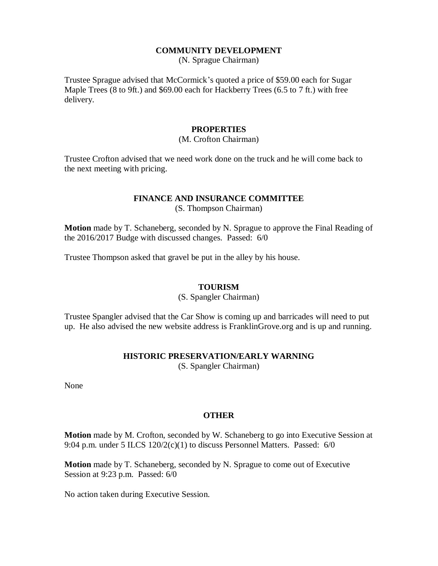# **COMMUNITY DEVELOPMENT**

(N. Sprague Chairman)

Trustee Sprague advised that McCormick's quoted a price of \$59.00 each for Sugar Maple Trees (8 to 9ft.) and \$69.00 each for Hackberry Trees (6.5 to 7 ft.) with free delivery.

### **PROPERTIES**

# (M. Crofton Chairman)

Trustee Crofton advised that we need work done on the truck and he will come back to the next meeting with pricing.

# **FINANCE AND INSURANCE COMMITTEE**

(S. Thompson Chairman)

**Motion** made by T. Schaneberg, seconded by N. Sprague to approve the Final Reading of the 2016/2017 Budge with discussed changes. Passed: 6/0

Trustee Thompson asked that gravel be put in the alley by his house.

### **TOURISM**

(S. Spangler Chairman)

Trustee Spangler advised that the Car Show is coming up and barricades will need to put up. He also advised the new website address is FranklinGrove.org and is up and running.

### **HISTORIC PRESERVATION/EARLY WARNING**

(S. Spangler Chairman)

None

### **OTHER**

**Motion** made by M. Crofton, seconded by W. Schaneberg to go into Executive Session at 9:04 p.m. under 5 ILCS  $120/2(c)(1)$  to discuss Personnel Matters. Passed: 6/0

**Motion** made by T. Schaneberg, seconded by N. Sprague to come out of Executive Session at 9:23 p.m. Passed: 6/0

No action taken during Executive Session.